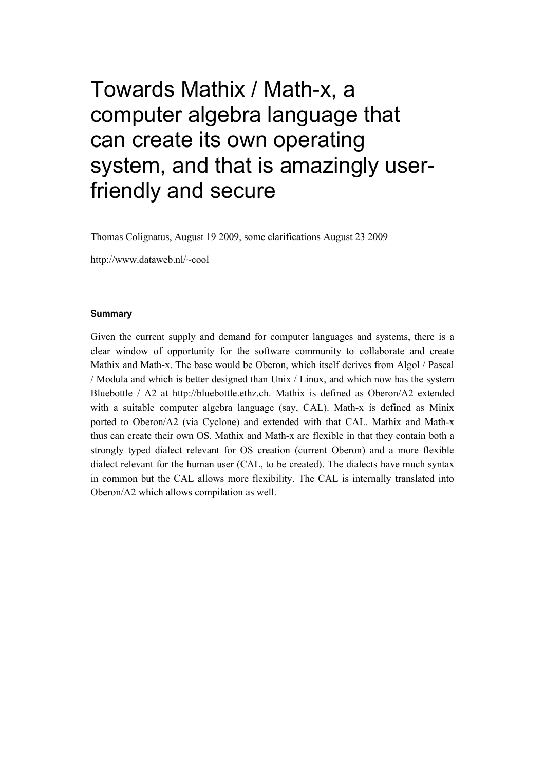# Towards Mathix / Math-x, a computer algebra language that can create its own operating system, and that is amazingly userfriendly and secure

Thomas Colignatus, August 19 2009, some clarifications August 23 2009

http://www.dataweb.nl/~cool

#### **Summary**

Given the current supply and demand for computer languages and systems, there is a clear window of opportunity for the software community to collaborate and create Mathix and Math-x. The base would be Oberon, which itself derives from Algol / Pascal / Modula and which is better designed than Unix / Linux, and which now has the system Bluebottle / A2 at http://bluebottle.ethz.ch. Mathix is defined as Oberon/A2 extended with a suitable computer algebra language (say, CAL). Math-x is defined as Minix ported to Oberon/A2 (via Cyclone) and extended with that CAL. Mathix and Math-x thus can create their own OS. Mathix and Math-x are flexible in that they contain both a strongly typed dialect relevant for OS creation (current Oberon) and a more flexible dialect relevant for the human user (CAL, to be created). The dialects have much syntax in common but the CAL allows more flexibility. The CAL is internally translated into Oberon/A2 which allows compilation as well.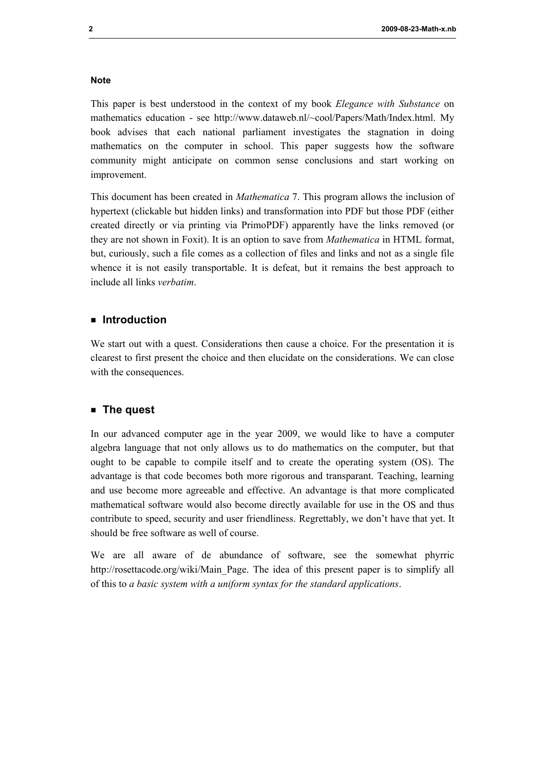#### **Note**

This paper is best understood in the context of my book *Elegance with Substance* on mathematics education - see http://www.dataweb.nl/~cool/Papers/Math/Index.html. My book advises that each national parliament investigates the stagnation in doing mathematics on the computer in school. This paper suggests how the software community might anticipate on common sense conclusions and start working on improvement.

This document has been created in *Mathematica* 7. This program allows the inclusion of hypertext (clickable but hidden links) and transformation into PDF but those PDF (either created directly or via printing via PrimoPDF) apparently have the links removed (or they are not shown in Foxit). It is an option to save from *Mathematica* in HTML format, but, curiously, such a file comes as a collection of files and links and not as a single file whence it is not easily transportable. It is defeat, but it remains the best approach to include all links *verbatim*.

## **ü Introduction**

We start out with a quest. Considerations then cause a choice. For the presentation it is clearest to first present the choice and then elucidate on the considerations. We can close with the consequences.

## **ü The quest**

In our advanced computer age in the year 2009, we would like to have a computer algebra language that not only allows us to do mathematics on the computer, but that ought to be capable to compile itself and to create the operating system (OS). The advantage is that code becomes both more rigorous and transparant. Teaching, learning and use become more agreeable and effective. An advantage is that more complicated mathematical software would also become directly available for use in the OS and thus contribute to speed, security and user friendliness. Regrettably, we don't have that yet. It should be free software as well of course.

We are all aware of de abundance of software, see the somewhat phyrric http://rosettacode.org/wiki/Main\_Page. The idea of this present paper is to simplify all of this to *a basic system with a uniform syntax for the standard applications*.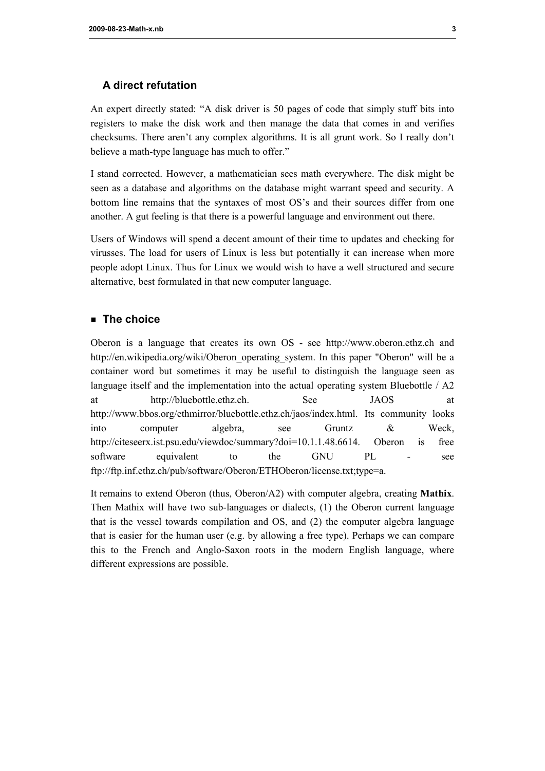# **A direct refutation**

An expert directly stated: "A disk driver is 50 pages of code that simply stuff bits into registers to make the disk work and then manage the data that comes in and verifies checksums. There aren't any complex algorithms. It is all grunt work. So I really don't believe a math-type language has much to offer."

I stand corrected. However, a mathematician sees math everywhere. The disk might be seen as a database and algorithms on the database might warrant speed and security. A bottom line remains that the syntaxes of most OS's and their sources differ from one another. A gut feeling is that there is a powerful language and environment out there.

Users of Windows will spend a decent amount of their time to updates and checking for virusses. The load for users of Linux is less but potentially it can increase when more people adopt Linux. Thus for Linux we would wish to have a well structured and secure alternative, best formulated in that new computer language.

# **ü The choice**

Oberon is a language that creates its own OS - see http://www.oberon.ethz.ch and http://en.wikipedia.org/wiki/Oberon\_operating\_system. In this paper "Oberon" will be a container word but sometimes it may be useful to distinguish the language seen as language itself and the implementation into the actual operating system Bluebottle / A2 at http://bluebottle.ethz.ch. See JAOS at http://www.bbos.org/ethmirror/bluebottle.ethz.ch/jaos/index.html. Its community looks into computer algebra, see Gruntz & Weck, http://citeseerx.ist.psu.edu/viewdoc/summary?doi=10.1.1.48.6614. Oberon is free software equivalent to the GNU PL - see ftp://ftp.inf.ethz.ch/pub/software/Oberon/ETHOberon/license.txt;type=a.

It remains to extend Oberon (thus, Oberon/A2) with computer algebra, creating **Mathix**. Then Mathix will have two sub-languages or dialects, (1) the Oberon current language that is the vessel towards compilation and OS, and (2) the computer algebra language that is easier for the human user (e.g. by allowing a free type). Perhaps we can compare this to the French and Anglo-Saxon roots in the modern English language, where different expressions are possible.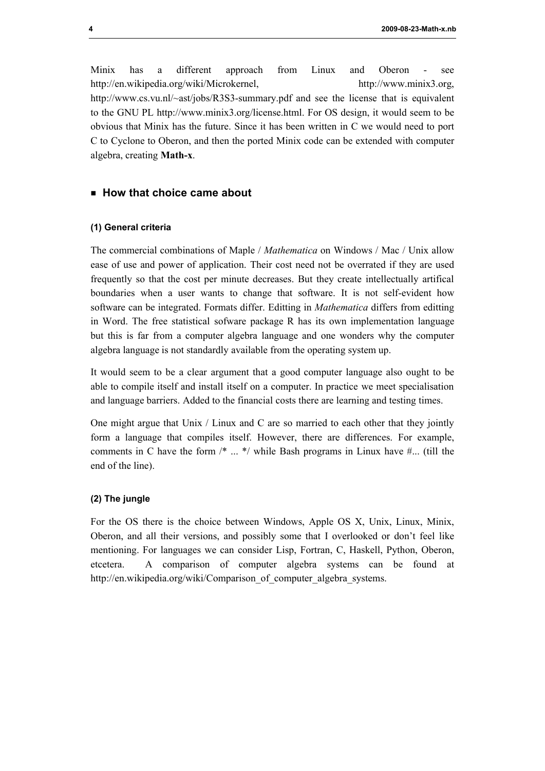Minix has a different approach from Linux and Oberon - see http://en.wikipedia.org/wiki/Microkernel, http://www.minix3.org, http://www.cs.vu.nl/~ast/jobs/R3S3-summary.pdf and see the license that is equivalent to the GNU PL http://www.minix3.org/license.html. For OS design, it would seem to be obvious that Minix has the future. Since it has been written in C we would need to port C to Cyclone to Oberon, and then the ported Minix code can be extended with computer algebra, creating **Math-x**.

## **ü How that choice came about**

#### **(1) General criteria**

The commercial combinations of Maple / *Mathematica* on Windows / Mac / Unix allow ease of use and power of application. Their cost need not be overrated if they are used frequently so that the cost per minute decreases. But they create intellectually artifical boundaries when a user wants to change that software. It is not self-evident how software can be integrated. Formats differ. Editting in *Mathematica* differs from editting in Word. The free statistical sofware package R has its own implementation language but this is far from a computer algebra language and one wonders why the computer algebra language is not standardly available from the operating system up.

It would seem to be a clear argument that a good computer language also ought to be able to compile itself and install itself on a computer. In practice we meet specialisation and language barriers. Added to the financial costs there are learning and testing times.

One might argue that Unix / Linux and C are so married to each other that they jointly form a language that compiles itself. However, there are differences. For example, comments in C have the form  $\frac{*}{*}$   $\ldots$   $\frac{*}{*}$  while Bash programs in Linux have  $\#$ ... (till the end of the line).

#### **(2) The jungle**

For the OS there is the choice between Windows, Apple OS X, Unix, Linux, Minix, Oberon, and all their versions, and possibly some that I overlooked or don't feel like mentioning. For languages we can consider Lisp, Fortran, C, Haskell, Python, Oberon, etcetera. A comparison of computer algebra systems can be found at http://en.wikipedia.org/wiki/Comparison\_of\_computer\_algebra\_systems.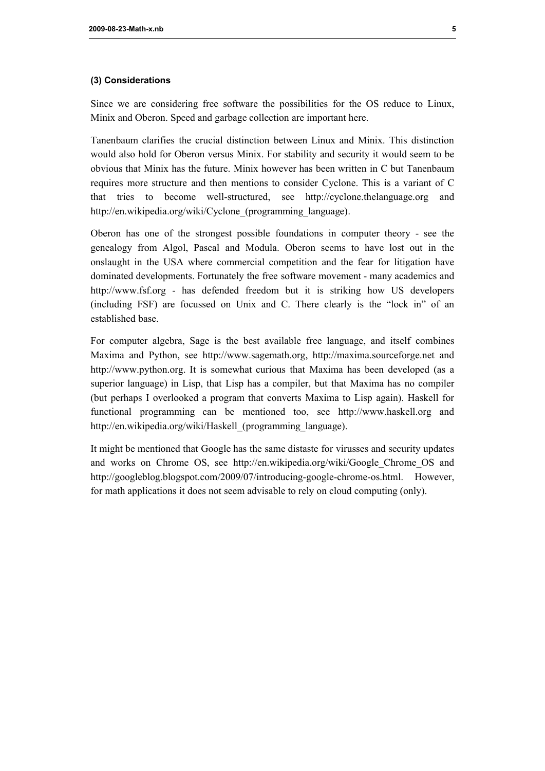#### **(3) Considerations**

Since we are considering free software the possibilities for the OS reduce to Linux, Minix and Oberon. Speed and garbage collection are important here.

Tanenbaum clarifies the crucial distinction between Linux and Minix. This distinction would also hold for Oberon versus Minix. For stability and security it would seem to be obvious that Minix has the future. Minix however has been written in C but Tanenbaum requires more structure and then mentions to consider Cyclone. This is a variant of C that tries to become well-structured, see http://cyclone.thelanguage.org and http://en.wikipedia.org/wiki/Cyclone (programming language).

Oberon has one of the strongest possible foundations in computer theory - see the genealogy from Algol, Pascal and Modula. Oberon seems to have lost out in the onslaught in the USA where commercial competition and the fear for litigation have dominated developments. Fortunately the free software movement - many academics and http://www.fsf.org - has defended freedom but it is striking how US developers (including FSF) are focussed on Unix and C. There clearly is the "lock in" of an established base.

For computer algebra, Sage is the best available free language, and itself combines Maxima and Python, see http://www.sagemath.org, http://maxima.sourceforge.net and http://www.python.org. It is somewhat curious that Maxima has been developed (as a superior language) in Lisp, that Lisp has a compiler, but that Maxima has no compiler (but perhaps I overlooked a program that converts Maxima to Lisp again). Haskell for functional programming can be mentioned too, see http://www.haskell.org and http://en.wikipedia.org/wiki/Haskell (programming language).

It might be mentioned that Google has the same distaste for virusses and security updates and works on Chrome OS, see http://en.wikipedia.org/wiki/Google\_Chrome\_OS and http://googleblog.blogspot.com/2009/07/introducing-google-chrome-os.html. However, for math applications it does not seem advisable to rely on cloud computing (only).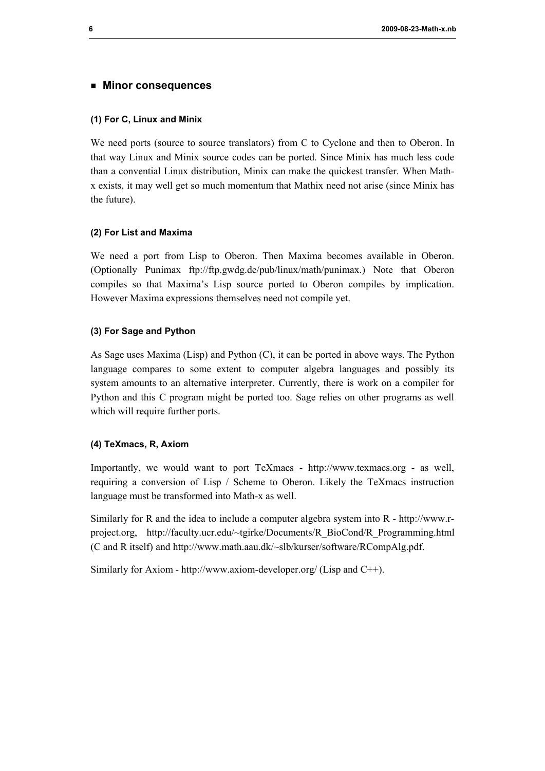#### **ü Minor consequences**

#### **(1) For C, Linux and Minix**

We need ports (source to source translators) from C to Cyclone and then to Oberon. In that way Linux and Minix source codes can be ported. Since Minix has much less code than a convential Linux distribution, Minix can make the quickest transfer. When Mathx exists, it may well get so much momentum that Mathix need not arise (since Minix has the future).

#### **(2) For List and Maxima**

We need a port from Lisp to Oberon. Then Maxima becomes available in Oberon. (Optionally Punimax ftp://ftp.gwdg.de/pub/linux/math/punimax.) Note that Oberon compiles so that Maxima's Lisp source ported to Oberon compiles by implication. However Maxima expressions themselves need not compile yet.

#### **(3) For Sage and Python**

As Sage uses Maxima (Lisp) and Python (C), it can be ported in above ways. The Python language compares to some extent to computer algebra languages and possibly its system amounts to an alternative interpreter. Currently, there is work on a compiler for Python and this C program might be ported too. Sage relies on other programs as well which will require further ports.

## **(4) TeXmacs, R, Axiom**

Importantly, we would want to port TeXmacs - http://www.texmacs.org - as well, requiring a conversion of Lisp / Scheme to Oberon. Likely the TeXmacs instruction language must be transformed into Math-x as well.

Similarly for R and the idea to include a computer algebra system into R - http://www.rproject.org, http://faculty.ucr.edu/~tgirke/Documents/R\_BioCond/R\_Programming.html (C and R itself) and http://www.math.aau.dk/~slb/kurser/software/RCompAlg.pdf.

Similarly for Axiom - http://www.axiom-developer.org/ (Lisp and C++).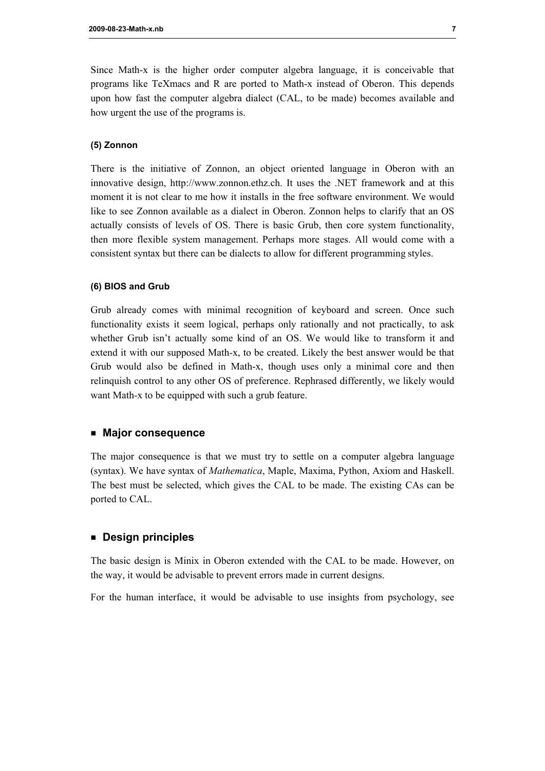Since Math-x is the higher order computer algebra language, it is conceivable that programs like TeXmacs and R are ported to Math-x instead of Oberon. This depends upon how fast the computer algebra dialect (CAL, to be made) becomes available and how urgent the use of the programs is.

#### **(5) Zonnon**

There is the initiative of Zonnon, an object oriented language in Oberon with an innovative design, http://www.zonnon.ethz.ch. It uses the .NET framework and at this moment it is not clear to me how it installs in the free software environment. We would like to see Zonnon available as a dialect in Oberon. Zonnon helps to clarify that an OS actually consists of levels of OS. There is basic Grub, then core system functionality, then more flexible system management. Perhaps more stages. All would come with a consistent syntax but there can be dialects to allow for different programming styles.

#### **(6) BIOS and Grub**

Grub already comes with minimal recognition of keyboard and screen. Once such functionality exists it seem logical, perhaps only rationally and not practically, to ask whether Grub isn't actually some kind of an OS. We would like to transform it and extend it with our supposed Math-x, to be created. Likely the best answer would be that Grub would also be defined in Math-x, though uses only a minimal core and then relinquish control to any other OS of preference. Rephrased differently, we likely would want Math-x to be equipped with such a grub feature.

#### **ü Major consequence**

The major consequence is that we must try to settle on a computer algebra language (syntax). We have syntax of *Mathematica*, Maple, Maxima, Python, Axiom and Haskell. The best must be selected, which gives the CAL to be made. The existing CAs can be ported to CAL.

## **ü Design principles**

The basic design is Minix in Oberon extended with the CAL to be made. However, on the way, it would be advisable to prevent errors made in current designs.

For the human interface, it would be advisable to use insights from psychology, see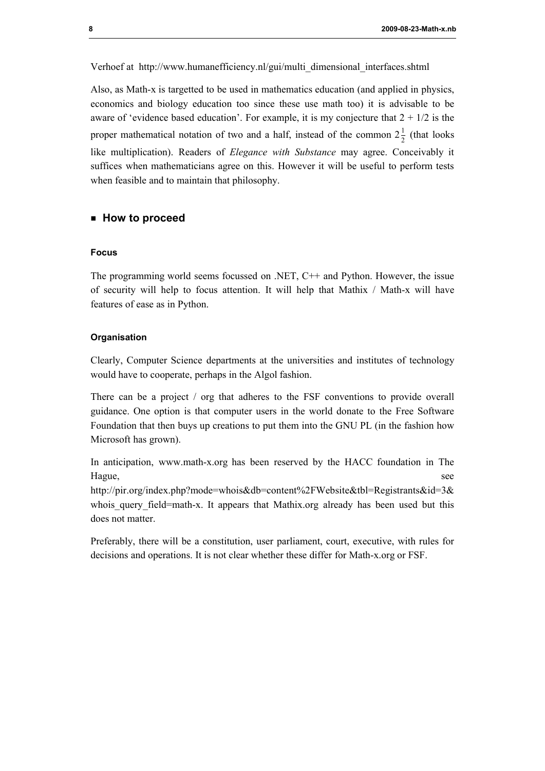Verhoef at http://www.humanefficiency.nl/gui/multi\_dimensional\_interfaces.shtml

Also, as Math-x is targetted to be used in mathematics education (and applied in physics, economics and biology education too since these use math too) it is advisable to be aware of 'evidence based education'. For example, it is my conjecture that  $2 + 1/2$  is the proper mathematical notation of two and a half, instead of the common  $2\frac{1}{2}$  (that looks like multiplication). Readers of *Elegance with Substance* may agree. Conceivably it suffices when mathematicians agree on this. However it will be useful to perform tests when feasible and to maintain that philosophy.

#### **ü How to proceed**

#### **Focus**

The programming world seems focussed on .NET,  $C++$  and Python. However, the issue of security will help to focus attention. It will help that Mathix / Math-x will have features of ease as in Python.

#### **Organisation**

Clearly, Computer Science departments at the universities and institutes of technology would have to cooperate, perhaps in the Algol fashion.

There can be a project / org that adheres to the FSF conventions to provide overall guidance. One option is that computer users in the world donate to the Free Software Foundation that then buys up creations to put them into the GNU PL (in the fashion how Microsoft has grown).

In anticipation, www.math-x.org has been reserved by the HACC foundation in The Hague, see

http://pir.org/index.php?mode=whois&db=content%2FWebsite&tbl=Registrants&id=3& whois query field=math-x. It appears that Mathix.org already has been used but this does not matter

Preferably, there will be a constitution, user parliament, court, executive, with rules for decisions and operations. It is not clear whether these differ for Math-x.org or FSF.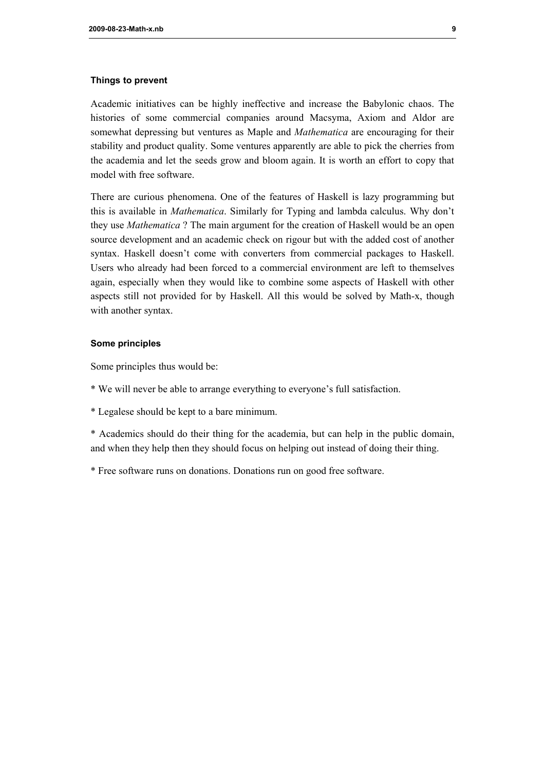#### **Things to prevent**

Academic initiatives can be highly ineffective and increase the Babylonic chaos. The histories of some commercial companies around Macsyma, Axiom and Aldor are somewhat depressing but ventures as Maple and *Mathematica* are encouraging for their stability and product quality. Some ventures apparently are able to pick the cherries from the academia and let the seeds grow and bloom again. It is worth an effort to copy that model with free software.

There are curious phenomena. One of the features of Haskell is lazy programming but this is available in *Mathematica*. Similarly for Typing and lambda calculus. Why don't they use *Mathematica* ? The main argument for the creation of Haskell would be an open source development and an academic check on rigour but with the added cost of another syntax. Haskell doesn't come with converters from commercial packages to Haskell. Users who already had been forced to a commercial environment are left to themselves again, especially when they would like to combine some aspects of Haskell with other aspects still not provided for by Haskell. All this would be solved by Math-x, though with another syntax.

#### **Some principles**

Some principles thus would be:

- \* We will never be able to arrange everything to everyone's full satisfaction.
- \* Legalese should be kept to a bare minimum.

\* Academics should do their thing for the academia, but can help in the public domain, and when they help then they should focus on helping out instead of doing their thing.

\* Free software runs on donations. Donations run on good free software.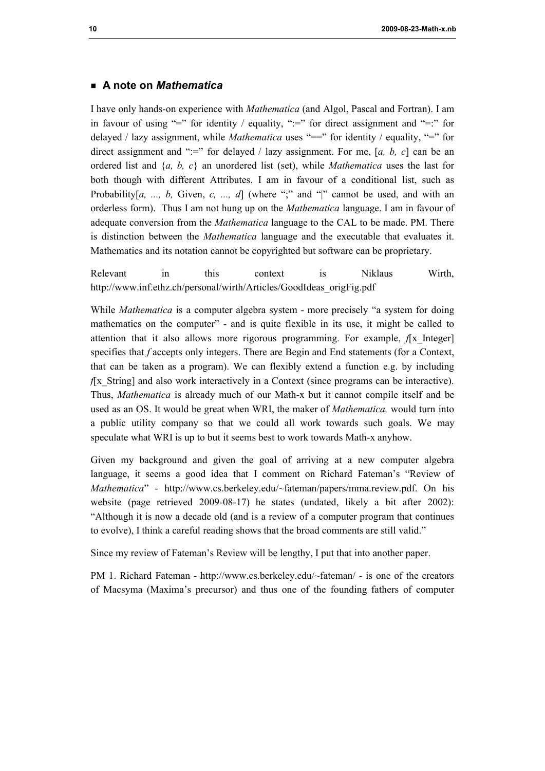# **ü A note on** *Mathematica*

I have only hands-on experience with *Mathematica* (and Algol, Pascal and Fortran). I am in favour of using "=" for identity / equality, ":=" for direct assignment and "=:" for delayed / lazy assignment, while *Mathematica* uses "==" for identity / equality, "=" for direct assignment and ":=" for delayed / lazy assignment. For me, [a, b, c] can be an ordered list and {*a, b, c*} an unordered list (set), while *Mathematica* uses the last for both though with different Attributes. I am in favour of a conditional list, such as Probability[a, ..., b, Given, c, ..., d] (where ";" and "|" cannot be used, and with an orderless form). Thus I am not hung up on the *Mathematica* language. I am in favour of adequate conversion from the *Mathematica* language to the CAL to be made. PM. There is distinction between the *Mathematica* language and the executable that evaluates it. Mathematics and its notation cannot be copyrighted but software can be proprietary.

Relevant in this context is Niklaus Wirth, http://www.inf.ethz.ch/personal/wirth/Articles/GoodIdeas\_origFig.pdf

While *Mathematica* is a computer algebra system - more precisely "a system for doing mathematics on the computer" - and is quite flexible in its use, it might be called to attention that it also allows more rigorous programming. For example,  $f[x]$  Integer] specifies that *f* accepts only integers. There are Begin and End statements (for a Context, that can be taken as a program). We can flexibly extend a function e.g. by including *f*[x String] and also work interactively in a Context (since programs can be interactive). Thus, *Mathematica* is already much of our Math-x but it cannot compile itself and be used as an OS. It would be great when WRI, the maker of *Mathematica,* would turn into a public utility company so that we could all work towards such goals. We may speculate what WRI is up to but it seems best to work towards Math-x anyhow.

Given my background and given the goal of arriving at a new computer algebra language, it seems a good idea that I comment on Richard Fateman's "Review of *Mathematica*" - http://www.cs.berkeley.edu/~fateman/papers/mma.review.pdf. On his website (page retrieved 2009-08-17) he states (undated, likely a bit after 2002): "Although it is now a decade old (and is a review of a computer program that continues to evolve), I think a careful reading shows that the broad comments are still valid."

Since my review of Fateman's Review will be lengthy, I put that into another paper.

PM 1. Richard Fateman - http://www.cs.berkeley.edu/~fateman/ - is one of the creators of Macsyma (Maxima's precursor) and thus one of the founding fathers of computer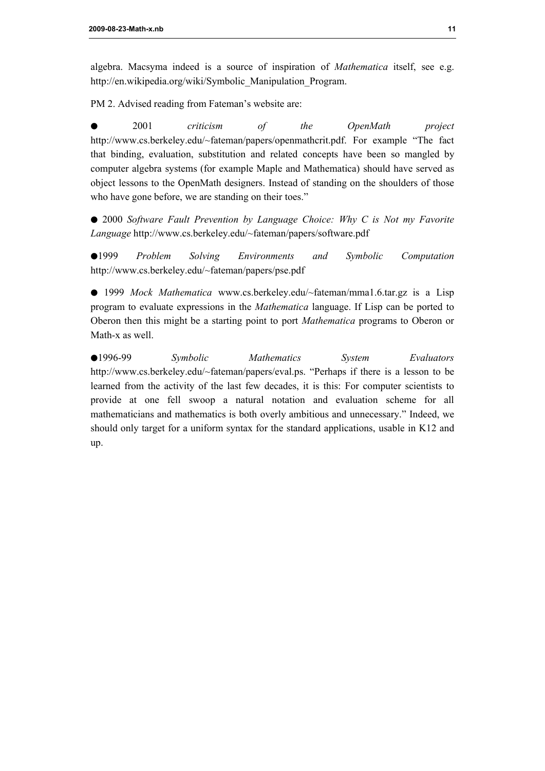algebra. Macsyma indeed is a source of inspiration of *Mathematica* itself, see e.g. http://en.wikipedia.org/wiki/Symbolic\_Manipulation\_Program.

PM 2. Advised reading from Fateman's website are:

æ 2001 *criticism of the OpenMath project* http://www.cs.berkeley.edu/~fateman/papers/openmathcrit.pdf. For example "The fact that binding, evaluation, substitution and related concepts have been so mangled by computer algebra systems (for example Maple and Mathematica) should have served as object lessons to the OpenMath designers. Instead of standing on the shoulders of those who have gone before, we are standing on their toes."

æ 2000 *Software Fault Prevention by Language Choice: Why C is Not my Favorite Language* http://www.cs.berkeley.edu/~fateman/papers/software.pdf

æ1999 *Problem Solving Environments and Symbolic Computation* http://www.cs.berkeley.edu/~fateman/papers/pse.pdf

æ 1999 *Mock Mathematica* www.cs.berkeley.edu/~fateman/mma1.6.tar.gz is a Lisp program to evaluate expressions in the *Mathematica* language. If Lisp can be ported to Oberon then this might be a starting point to port *Mathematica* programs to Oberon or Math-x as well.

æ1996-99 *Symbolic Mathematics System Evaluators* http://www.cs.berkeley.edu/~fateman/papers/eval.ps. "Perhaps if there is a lesson to be learned from the activity of the last few decades, it is this: For computer scientists to provide at one fell swoop a natural notation and evaluation scheme for all mathematicians and mathematics is both overly ambitious and unnecessary." Indeed, we should only target for a uniform syntax for the standard applications, usable in K12 and up.